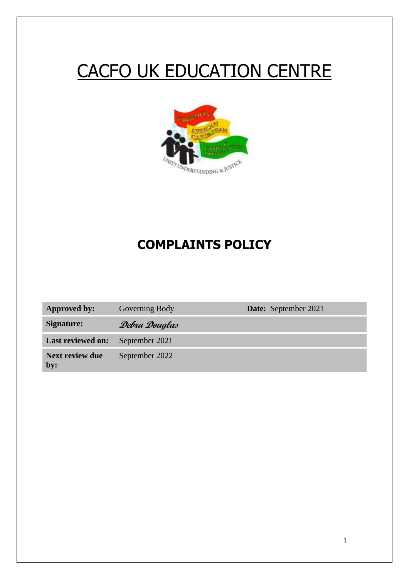# CACFO UK EDUCATION CENTRE



# **COMPLAINTS POLICY**

| <b>Approved by:</b>           | Governing Body | <b>Date:</b> September 2021 |
|-------------------------------|----------------|-----------------------------|
| Signature:                    | Debra Douglas  |                             |
| <b>Last reviewed on:</b>      | September 2021 |                             |
| <b>Next review due</b><br>by: | September 2022 |                             |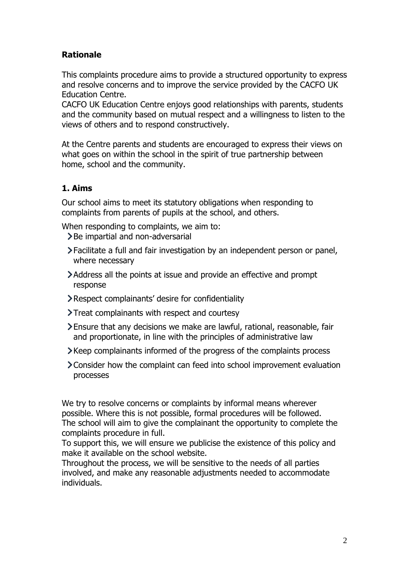# **Rationale**

This complaints procedure aims to provide a structured opportunity to express and resolve concerns and to improve the service provided by the CACFO UK Education Centre.

CACFO UK Education Centre enjoys good relationships with parents, students and the community based on mutual respect and a willingness to listen to the views of others and to respond constructively.

At the Centre parents and students are encouraged to express their views on what goes on within the school in the spirit of true partnership between home, school and the community.

# **1. Aims**

Our school aims to meet its statutory obligations when responding to complaints from parents of pupils at the school, and others.

When responding to complaints, we aim to:

- > Be impartial and non-adversarial
- Facilitate a full and fair investigation by an independent person or panel, where necessary
- Address all the points at issue and provide an effective and prompt response
- Respect complainants' desire for confidentiality
- > Treat complainants with respect and courtesy
- Ensure that any decisions we make are lawful, rational, reasonable, fair and proportionate, in line with the principles of administrative law
- Keep complainants informed of the progress of the complaints process
- Consider how the complaint can feed into school improvement evaluation processes

We try to resolve concerns or complaints by informal means wherever possible. Where this is not possible, formal procedures will be followed. The school will aim to give the complainant the opportunity to complete the complaints procedure in full.

To support this, we will ensure we publicise the existence of this policy and make it available on the school website.

Throughout the process, we will be sensitive to the needs of all parties involved, and make any reasonable adjustments needed to accommodate individuals.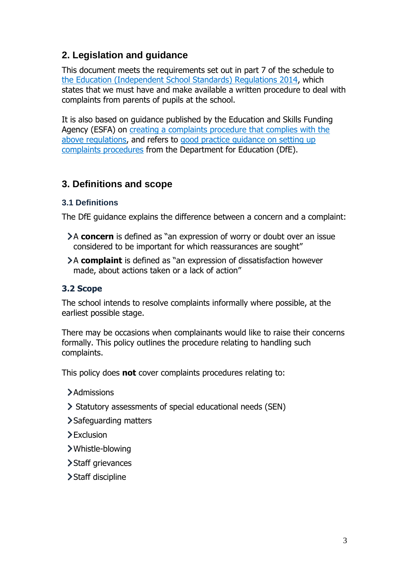# **2. Legislation and guidance**

This document meets the requirements set out in part 7 of the schedule to the [Education \(Independent School Standards\) Regulations 2014,](http://www.legislation.gov.uk/uksi/2014/3283/schedule/made) which states that we must have and make available a written procedure to deal with complaints from parents of pupils at the school.

It is also based on guidance published by the Education and Skills Funding Agency (ESFA) on [creating a complaints procedure that complies with the](https://www.gov.uk/government/publications/setting-up-an-academies-complaints-procedure)  [above regulations,](https://www.gov.uk/government/publications/setting-up-an-academies-complaints-procedure) and refers to [good practice guidance on setting up](https://www.gov.uk/government/publications/school-complaints-procedures)  [complaints procedures](https://www.gov.uk/government/publications/school-complaints-procedures) from the Department for Education (DfE).

# **3. Definitions and scope**

#### **3.1 Definitions**

The DfE guidance explains the difference between a concern and a complaint:

- A **concern** is defined as "an expression of worry or doubt over an issue considered to be important for which reassurances are sought"
- A **complaint** is defined as "an expression of dissatisfaction however made, about actions taken or a lack of action"

#### **3.2 Scope**

The school intends to resolve complaints informally where possible, at the earliest possible stage.

There may be occasions when complainants would like to raise their concerns formally. This policy outlines the procedure relating to handling such complaints.

This policy does **not** cover complaints procedures relating to:

- **>**Admissions
- Statutory assessments of special educational needs (SEN)
- Safeguarding matters
- > Exclusion
- Whistle-blowing
- > Staff grievances
- > Staff discipline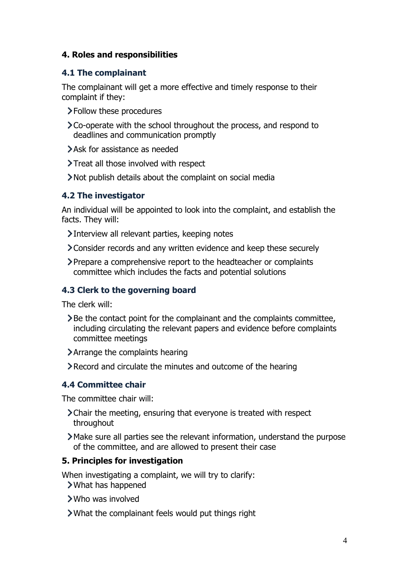#### **4. Roles and responsibilities**

#### **4.1 The complainant**

The complainant will get a more effective and timely response to their complaint if they:

- Follow these procedures
- Co-operate with the school throughout the process, and respond to deadlines and communication promptly
- Ask for assistance as needed
- **>Treat all those involved with respect**
- Not publish details about the complaint on social media

#### **4.2 The investigator**

An individual will be appointed to look into the complaint, and establish the facts. They will:

Interview all relevant parties, keeping notes

- Consider records and any written evidence and keep these securely
- Prepare a comprehensive report to the headteacher or complaints committee which includes the facts and potential solutions

#### **4.3 Clerk to the governing board**

The clerk will:

- Be the contact point for the complainant and the complaints committee, including circulating the relevant papers and evidence before complaints committee meetings
- Arrange the complaints hearing
- Record and circulate the minutes and outcome of the hearing

#### **4.4 Committee chair**

The committee chair will:

- Chair the meeting, ensuring that everyone is treated with respect throughout
- Make sure all parties see the relevant information, understand the purpose of the committee, and are allowed to present their case

#### **5. Principles for investigation**

When investigating a complaint, we will try to clarify: What has happened

- Who was involved
- What the complainant feels would put things right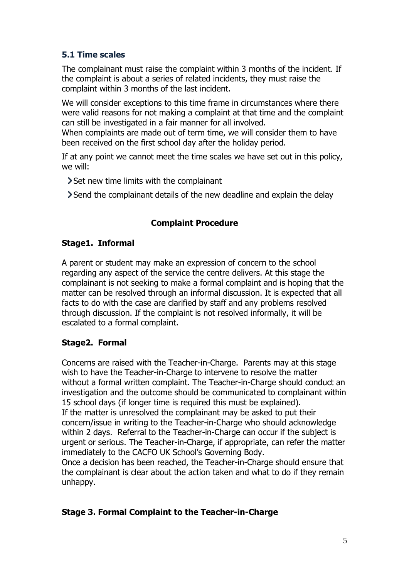#### **5.1 Time scales**

The complainant must raise the complaint within 3 months of the incident. If the complaint is about a series of related incidents, they must raise the complaint within 3 months of the last incident.

We will consider exceptions to this time frame in circumstances where there were valid reasons for not making a complaint at that time and the complaint can still be investigated in a fair manner for all involved.

When complaints are made out of term time, we will consider them to have been received on the first school day after the holiday period.

If at any point we cannot meet the time scales we have set out in this policy, we will:

- Set new time limits with the complainant
- Send the complainant details of the new deadline and explain the delay

# **Complaint Procedure**

#### **Stage1. Informal**

A parent or student may make an expression of concern to the school regarding any aspect of the service the centre delivers. At this stage the complainant is not seeking to make a formal complaint and is hoping that the matter can be resolved through an informal discussion. It is expected that all facts to do with the case are clarified by staff and any problems resolved through discussion. If the complaint is not resolved informally, it will be escalated to a formal complaint.

# **Stage2. Formal**

Concerns are raised with the Teacher-in-Charge. Parents may at this stage wish to have the Teacher-in-Charge to intervene to resolve the matter without a formal written complaint. The Teacher-in-Charge should conduct an investigation and the outcome should be communicated to complainant within 15 school days (if longer time is required this must be explained).

If the matter is unresolved the complainant may be asked to put their concern/issue in writing to the Teacher-in-Charge who should acknowledge within 2 days. Referral to the Teacher-in-Charge can occur if the subject is urgent or serious. The Teacher-in-Charge, if appropriate, can refer the matter immediately to the CACFO UK School's Governing Body.

Once a decision has been reached, the Teacher-in-Charge should ensure that the complainant is clear about the action taken and what to do if they remain unhappy.

# **Stage 3. Formal Complaint to the Teacher-in-Charge**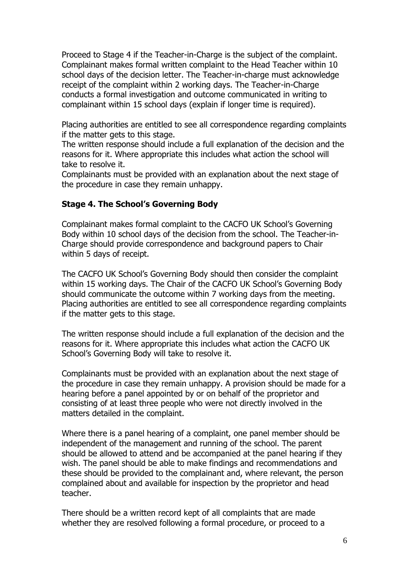Proceed to Stage 4 if the Teacher-in-Charge is the subject of the complaint. Complainant makes formal written complaint to the Head Teacher within 10 school days of the decision letter. The Teacher-in-charge must acknowledge receipt of the complaint within 2 working days. The Teacher-in-Charge conducts a formal investigation and outcome communicated in writing to complainant within 15 school days (explain if longer time is required).

Placing authorities are entitled to see all correspondence regarding complaints if the matter gets to this stage.

The written response should include a full explanation of the decision and the reasons for it. Where appropriate this includes what action the school will take to resolve it.

Complainants must be provided with an explanation about the next stage of the procedure in case they remain unhappy.

#### **Stage 4. The School's Governing Body**

Complainant makes formal complaint to the CACFO UK School's Governing Body within 10 school days of the decision from the school. The Teacher-in-Charge should provide correspondence and background papers to Chair within 5 days of receipt.

The CACFO UK School's Governing Body should then consider the complaint within 15 working days. The Chair of the CACFO UK School's Governing Body should communicate the outcome within 7 working days from the meeting. Placing authorities are entitled to see all correspondence regarding complaints if the matter gets to this stage.

The written response should include a full explanation of the decision and the reasons for it. Where appropriate this includes what action the CACFO UK School's Governing Body will take to resolve it.

Complainants must be provided with an explanation about the next stage of the procedure in case they remain unhappy. A provision should be made for a hearing before a panel appointed by or on behalf of the proprietor and consisting of at least three people who were not directly involved in the matters detailed in the complaint.

Where there is a panel hearing of a complaint, one panel member should be independent of the management and running of the school. The parent should be allowed to attend and be accompanied at the panel hearing if they wish. The panel should be able to make findings and recommendations and these should be provided to the complainant and, where relevant, the person complained about and available for inspection by the proprietor and head teacher.

There should be a written record kept of all complaints that are made whether they are resolved following a formal procedure, or proceed to a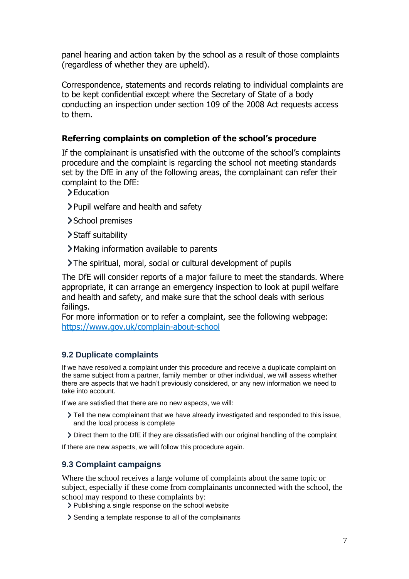panel hearing and action taken by the school as a result of those complaints (regardless of whether they are upheld).

Correspondence, statements and records relating to individual complaints are to be kept confidential except where the Secretary of State of a body conducting an inspection under section 109 of the 2008 Act requests access to them.

#### **Referring complaints on completion of the school's procedure**

If the complainant is unsatisfied with the outcome of the school's complaints procedure and the complaint is regarding the school not meeting standards set by the DfE in any of the following areas, the complainant can refer their complaint to the DfE:

- >Education
- Pupil welfare and health and safety
- > School premises
- > Staff suitability
- Making information available to parents
- The spiritual, moral, social or cultural development of pupils

The DfE will consider reports of a major failure to meet the standards. Where appropriate, it can arrange an emergency inspection to look at pupil welfare and health and safety, and make sure that the school deals with serious failings.

For more information or to refer a complaint, see the following webpage: <https://www.gov.uk/complain-about-school>

#### **9.2 Duplicate complaints**

If we have resolved a complaint under this procedure and receive a duplicate complaint on the same subject from a partner, family member or other individual, we will assess whether there are aspects that we hadn't previously considered, or any new information we need to take into account.

If we are satisfied that there are no new aspects, we will:

- Tell the new complainant that we have already investigated and responded to this issue, and the local process is complete
- Direct them to the DfE if they are dissatisfied with our original handling of the complaint

If there are new aspects, we will follow this procedure again.

#### **9.3 Complaint campaigns**

Where the school receives a large volume of complaints about the same topic or subject, especially if these come from complainants unconnected with the school, the school may respond to these complaints by:

- > Publishing a single response on the school website
- Sending a template response to all of the complainants